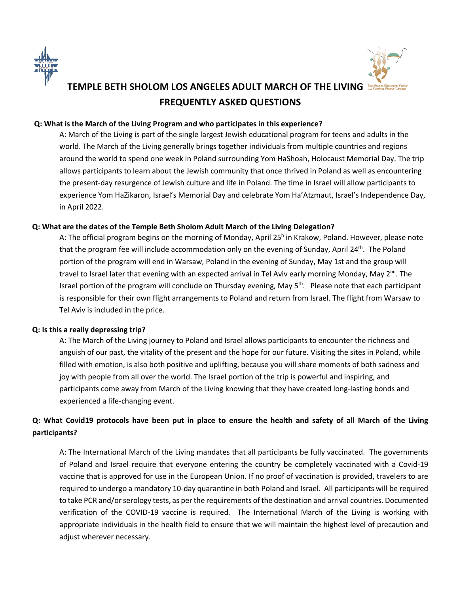



# **TEMPLE BETH SHOLOM LOS ANGELES ADULT MARCH OF THE LIVING FREQUENTLY ASKED QUESTIONS**

# **Q: What is the March of the Living Program and who participates in this experience?**

A: March of the Living is part of the single largest Jewish educational program for teens and adults in the world. The March of the Living generally brings together individuals from multiple countries and regions around the world to spend one week in Poland surrounding Yom HaShoah, Holocaust Memorial Day. The trip allows participants to learn about the Jewish community that once thrived in Poland as well as encountering the present-day resurgence of Jewish culture and life in Poland. The time in Israel will allow participants to experience Yom HaZikaron, Israel's Memorial Day and celebrate Yom Ha'Atzmaut, Israel's Independence Day, in April 2022.

# **Q: What are the dates of the Temple Beth Sholom Adult March of the Living Delegation?**

A: The official program begins on the morning of Monday, April 25<sup>h</sup> in Krakow, Poland. However, please note that the program fee will include accommodation only on the evening of Sunday, April  $24^{\text{th}}$ . The Poland portion of the program will end in Warsaw, Poland in the evening of Sunday, May 1st and the group will travel to Israel later that evening with an expected arrival in Tel Aviv early morning Monday, May 2<sup>nd</sup>. The Israel portion of the program will conclude on Thursday evening, May 5th. Please note that each participant is responsible for their own flight arrangements to Poland and return from Israel. The flight from Warsaw to Tel Aviv is included in the price.

### **Q: Is this a really depressing trip?**

A: The March of the Living journey to Poland and Israel allows participants to encounter the richness and anguish of our past, the vitality of the present and the hope for our future. Visiting the sites in Poland, while filled with emotion, is also both positive and uplifting, because you will share moments of both sadness and joy with people from all over the world. The Israel portion of the trip is powerful and inspiring, and participants come away from March of the Living knowing that they have created long-lasting bonds and experienced a life-changing event.

# **Q: What Covid19 protocols have been put in place to ensure the health and safety of all March of the Living participants?**

A: The International March of the Living mandates that all participants be fully vaccinated. The governments of Poland and Israel require that everyone entering the country be completely vaccinated with a Covid-19 vaccine that is approved for use in the European Union. If no proof of vaccination is provided, travelers to are required to undergo a mandatory 10-day quarantine in both Poland and Israel. All participants will be required to take PCR and/or serology tests, as per the requirements of the destination and arrival countries. Documented verification of the COVID-19 vaccine is required. The International March of the Living is working with appropriate individuals in the health field to ensure that we will maintain the highest level of precaution and adjust wherever necessary.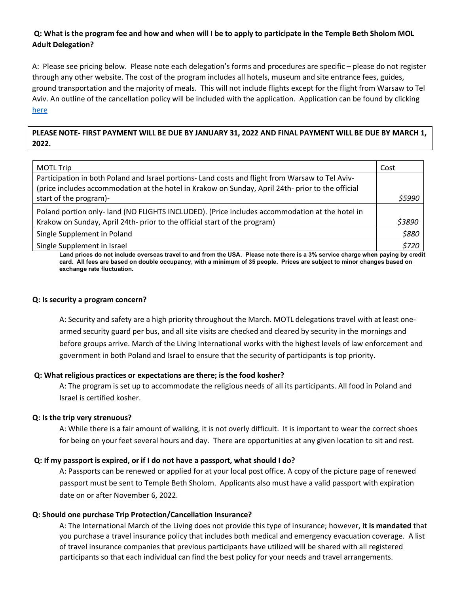# **Q: What is the program fee and how and when will I be to apply to participate in the Temple Beth Sholom MOL Adult Delegation?**

A: Please see pricing below. Please note each delegation's forms and procedures are specific – please do not register through any other website. The cost of the program includes all hotels, museum and site entrance fees, guides, ground transportation and the majority of meals. This will not include flights except for the flight from Warsaw to Tel Aviv. An outline of the cancellation policy will be included with the application. Application can be found by clicking here

**PLEASE NOTE- FIRST PAYMENT WILL BE DUE BY JANUARY 31, 2022 AND FINAL PAYMENT WILL BE DUE BY MARCH 1, 2022.**

| <b>MOTL Trip</b>                                                                                  | Cost   |
|---------------------------------------------------------------------------------------------------|--------|
| Participation in both Poland and Israel portions- Land costs and flight from Warsaw to Tel Aviv-  |        |
| (price includes accommodation at the hotel in Krakow on Sunday, April 24th- prior to the official |        |
| start of the program)-                                                                            | \$5990 |
| Poland portion only- land (NO FLIGHTS INCLUDED). (Price includes accommodation at the hotel in    |        |
| Krakow on Sunday, April 24th- prior to the official start of the program)                         | \$3890 |
| Single Supplement in Poland                                                                       | \$880  |
| Single Supplement in Israel                                                                       | \$720  |

**Land prices do not include overseas travel to and from the USA. Please note there is a 3% service charge when paying by credit card. All fees are based on double occupancy, with a minimum of 35 people. Prices are subject to minor changes based on exchange rate fluctuation.** 

#### **Q: Is security a program concern?**

A: Security and safety are a high priority throughout the March. MOTL delegations travel with at least onearmed security guard per bus, and all site visits are checked and cleared by security in the mornings and before groups arrive. March of the Living International works with the highest levels of law enforcement and government in both Poland and Israel to ensure that the security of participants is top priority.

### **Q: What religious practices or expectations are there; is the food kosher?**

A: The program is set up to accommodate the religious needs of all its participants. All food in Poland and Israel is certified kosher.

### **Q: Is the trip very strenuous?**

A: While there is a fair amount of walking, it is not overly difficult. It is important to wear the correct shoes for being on your feet several hours and day. There are opportunities at any given location to sit and rest.

### **Q: If my passport is expired, or if I do not have a passport, what should I do?**

A: Passports can be renewed or applied for at your local post office. A copy of the picture page of renewed passport must be sent to Temple Beth Sholom. Applicants also must have a valid passport with expiration date on or after November 6, 2022.

### **Q: Should one purchase Trip Protection/Cancellation Insurance?**

A: The International March of the Living does not provide this type of insurance; however, **it is mandated** that you purchase a travel insurance policy that includes both medical and emergency evacuation coverage. A list of travel insurance companies that previous participants have utilized will be shared with all registered participants so that each individual can find the best policy for your needs and travel arrangements.